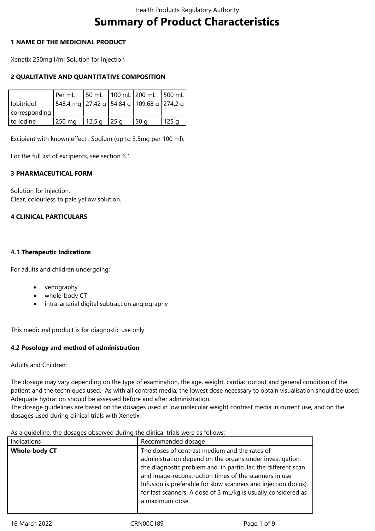# **Summary of Product Characteristics**

#### **1 NAME OF THE MEDICINAL PRODUCT**

Xenetix 250mg I/ml Solution for Injection

# **2 QUALITATIVE AND QUANTITATIVE COMPOSITION**

|               | l Per mL                                          | 50 mL 100 mL 200 mL |        | $ 500 \text{ mL} $ |
|---------------|---------------------------------------------------|---------------------|--------|--------------------|
| l lobitridol  | 548.4 mg   27.42 g   54.84 g   109.68 g   274.2 g |                     |        |                    |
| corresponding |                                                   |                     |        |                    |
| to Iodine     | $\vert$ 250 mg $\vert$ 12.5 g $\vert$ 25 g        |                     | l 50 a | 125q               |

Excipient with known effect : Sodium (up to 3.5mg per 100 ml).

For the full list of excipients, see section 6.1.

#### **3 PHARMACEUTICAL FORM**

Solution for injection. Clear, colourless to pale yellow solution.

#### **4 CLINICAL PARTICULARS**

#### **4.1 Therapeutic Indications**

For adults and children undergoing:

- venography
- whole-body CT
- intra-arterial digital subtraction angiography

This medicinal product is for diagnostic use only.

# **4.2 Posology and method of administration**

# Adults and Children:

The dosage may vary depending on the type of examination, the age, weight, cardiac output and general condition of the patient and the techniques used. As with all contrast media, the lowest dose necessary to obtain visualisation should be used. Adequate hydration should be assessed before and after administration.

The dosage guidelines are based on the dosages used in low molecular weight contrast media in current use, and on the dosages used during clinical trials with Xenetix.

| As a quideline, the dosages observed during the clinical trials were as follows: |  |
|----------------------------------------------------------------------------------|--|
|----------------------------------------------------------------------------------|--|

| Indications          | Recommended dosage                                                                                                                                                                                                                                                                                                                                                                         |
|----------------------|--------------------------------------------------------------------------------------------------------------------------------------------------------------------------------------------------------------------------------------------------------------------------------------------------------------------------------------------------------------------------------------------|
| <b>Whole-body CT</b> | The doses of contrast medium and the rates of<br>administration depend on the organs under investigation,<br>the diagnostic problem and, in particular, the different scan<br>and image-reconstruction times of the scanners in use.<br>Infusion is preferable for slow scanners and injection (bolus)<br>for fast scanners. A dose of 3 mL/kg is usually considered as<br>a maximum dose. |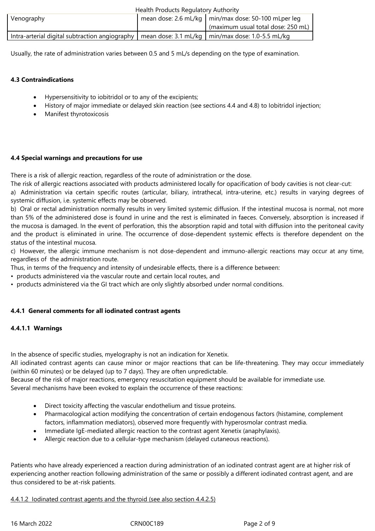|                                                                                                                  | Health Products Regulatory Authority |                                                       |  |
|------------------------------------------------------------------------------------------------------------------|--------------------------------------|-------------------------------------------------------|--|
| Venography                                                                                                       |                                      | mean dose: 2.6 mL/kg   min/max dose: 50-100 mLper leg |  |
|                                                                                                                  |                                      | (maximum usual total dose: 250 mL)                    |  |
| Intra-arterial digital subtraction angiography   mean dose: $3.1 \text{ mL/kg}$   min/max dose: $1.0$ -5.5 mL/kg |                                      |                                                       |  |
|                                                                                                                  |                                      |                                                       |  |

Usually, the rate of administration varies between 0.5 and 5 mL/s depending on the type of examination.

# **4.3 Contraindications**

- Hypersensitivity to iobitridol or to any of the excipients;
- History of major immediate or delayed skin reaction (see sections 4.4 and 4.8) to Iobitridol injection;
- Manifest thyrotoxicosis

# **4.4 Special warnings and precautions for use**

There is a risk of allergic reaction, regardless of the route of administration or the dose.

The risk of allergic reactions associated with products administered locally for opacification of body cavities is not clear-cut: a) Administration via certain specific routes (articular, biliary, intrathecal, intra-uterine, etc.) results in varying degrees of systemic diffusion, i.e. systemic effects may be observed.

b) Oral or rectal administration normally results in very limited systemic diffusion. If the intestinal mucosa is normal, not more than 5% of the administered dose is found in urine and the rest is eliminated in faeces. Conversely, absorption is increased if the mucosa is damaged. In the event of perforation, this the absorption rapid and total with diffusion into the peritoneal cavity and the product is eliminated in urine. The occurrence of dose-dependent systemic effects is therefore dependent on the status of the intestinal mucosa.

c) However, the allergic immune mechanism is not dose-dependent and immuno-allergic reactions may occur at any time, regardless of the administration route.

Thus, in terms of the frequency and intensity of undesirable effects, there is a difference between:

- products administered via the vascular route and certain local routes, and
- products administered via the GI tract which are only slightly absorbed under normal conditions.

# **4.4.1 General comments for all iodinated contrast agents**

# **4.4.1.1 Warnings**

In the absence of specific studies, myelography is not an indication for Xenetix.

All iodinated contrast agents can cause minor or major reactions that can be life-threatening. They may occur immediately (within 60 minutes) or be delayed (up to 7 days). They are often unpredictable.

Because of the risk of major reactions, emergency resuscitation equipment should be available for immediate use. Several mechanisms have been evoked to explain the occurrence of these reactions:

- Direct toxicity affecting the vascular endothelium and tissue proteins.
- Pharmacological action modifying the concentration of certain endogenous factors (histamine, complement factors, inflammation mediators), observed more frequently with hyperosmolar contrast media.
- Immediate IgE-mediated allergic reaction to the contrast agent Xenetix (anaphylaxis).
- Allergic reaction due to a cellular-type mechanism (delayed cutaneous reactions).

Patients who have already experienced a reaction during administration of an iodinated contrast agent are at higher risk of experiencing another reaction following administration of the same or possibly a different iodinated contrast agent, and are thus considered to be at-risk patients.

# 4.4.1.2 Iodinated contrast agents and the thyroid (see also section 4.4.2.5)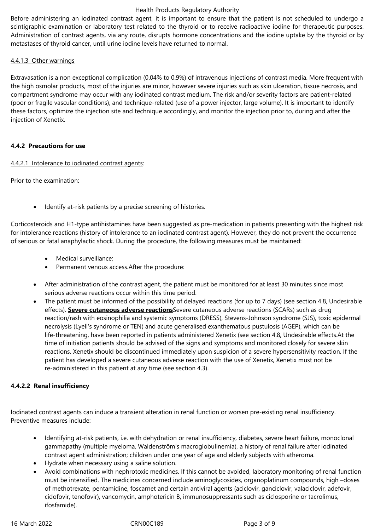Before administering an iodinated contrast agent, it is important to ensure that the patient is not scheduled to undergo a scintigraphic examination or laboratory test related to the thyroid or to receive radioactive iodine for therapeutic purposes. Administration of contrast agents, via any route, disrupts hormone concentrations and the iodine uptake by the thyroid or by metastases of thyroid cancer, until urine iodine levels have returned to normal.

#### 4.4.1.3 Other warnings

Extravasation is a non exceptional complication (0.04% to 0.9%) of intravenous injections of contrast media. More frequent with the high osmolar products, most of the injuries are minor, however severe injuries such as skin ulceration, tissue necrosis, and compartment syndrome may occur with any iodinated contrast medium. The risk and/or severity factors are patient-related (poor or fragile vascular conditions), and technique-related (use of a power injector, large volume). It is important to identify these factors, optimize the injection site and technique accordingly, and monitor the injection prior to, during and after the injection of Xenetix.

#### **4.4.2 Precautions for use**

#### 4.4.2.1 Intolerance to iodinated contrast agents:

Prior to the examination:

Identify at-risk patients by a precise screening of histories.

Corticosteroids and H1-type antihistamines have been suggested as pre-medication in patients presenting with the highest risk for intolerance reactions (history of intolerance to an iodinated contrast agent). However, they do not prevent the occurrence of serious or fatal anaphylactic shock. During the procedure, the following measures must be maintained:

- Medical surveillance:
- Permanent venous access.After the procedure:
- After administration of the contrast agent, the patient must be monitored for at least 30 minutes since most serious adverse reactions occur within this time period.
- The patient must be informed of the possibility of delayed reactions (for up to 7 days) (see section 4.8, Undesirable effects). **Severe cutaneous adverse reactions**Severe cutaneous adverse reactions (SCARs) such as drug reaction/rash with eosinophilia and systemic symptoms (DRESS), Stevens-Johnson syndrome (SJS), toxic epidermal necrolysis (Lyell's syndrome or TEN) and acute generalised exanthematous pustulosis (AGEP), which can be life-threatening, have been reported in patients administered Xenetix (see section 4.8, Undesirable effects.At the time of initiation patients should be advised of the signs and symptoms and monitored closely for severe skin reactions. Xenetix should be discontinued immediately upon suspicion of a severe hypersensitivity reaction. If the patient has developed a severe cutaneous adverse reaction with the use of Xenetix, Xenetix must not be re-administered in this patient at any time (see section 4.3).

# **4.4.2.2 Renal insufficiency**

Iodinated contrast agents can induce a transient alteration in renal function or worsen pre-existing renal insufficiency. Preventive measures include:

- Identifying at-risk patients, i.e. with dehydration or renal insufficiency, diabetes, severe heart failure, monoclonal gammapathy (multiple myeloma, Waldenström's macroglobulinemia), a history of renal failure after iodinated contrast agent administration; children under one year of age and elderly subjects with atheroma.
- Hydrate when necessary using a saline solution.
- Avoid combinations with nephrotoxic medicines. If this cannot be avoided, laboratory monitoring of renal function must be intensified. The medicines concerned include aminoglycosides, organoplatinum compounds, high –doses of methotrexate, pentamidine, foscarnet and certain antiviral agents (aciclovir, ganciclovir, valaciclovir, adefovir, cidofovir, tenofovir), vancomycin, amphotericin B, immunosuppressants such as ciclosporine or tacrolimus, ifosfamide).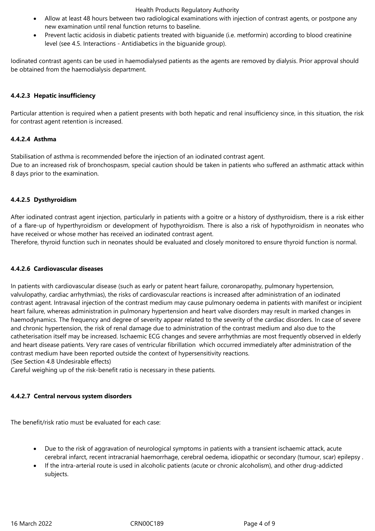- Allow at least 48 hours between two radiological examinations with injection of contrast agents, or postpone any new examination until renal function returns to baseline.
- Prevent lactic acidosis in diabetic patients treated with biguanide (i.e. metformin) according to blood creatinine level (see 4.5. Interactions - Antidiabetics in the biguanide group).

Iodinated contrast agents can be used in haemodialysed patients as the agents are removed by dialysis. Prior approval should be obtained from the haemodialysis department.

# **4.4.2.3 Hepatic insufficiency**

Particular attention is required when a patient presents with both hepatic and renal insufficiency since, in this situation, the risk for contrast agent retention is increased.

#### **4.4.2.4 Asthma**

Stabilisation of asthma is recommended before the injection of an iodinated contrast agent. Due to an increased risk of bronchospasm, special caution should be taken in patients who suffered an asthmatic attack within 8 days prior to the examination.

# **4.4.2.5 Dysthyroidism**

After iodinated contrast agent injection, particularly in patients with a goitre or a history of dysthyroidism, there is a risk either of a flare-up of hyperthyroidism or development of hypothyroidism. There is also a risk of hypothyroidism in neonates who have received or whose mother has received an iodinated contrast agent.

Therefore, thyroid function such in neonates should be evaluated and closely monitored to ensure thyroid function is normal.

# **4.4.2.6 Cardiovascular diseases**

In patients with cardiovascular disease (such as early or patent heart failure, coronaropathy, pulmonary hypertension, valvulopathy, cardiac arrhythmias), the risks of cardiovascular reactions is increased after administration of an iodinated contrast agent. Intravasal injection of the contrast medium may cause pulmonary oedema in patients with manifest or incipient heart failure, whereas administration in pulmonary hypertension and heart valve disorders may result in marked changes in haemodynamics. The frequency and degree of severity appear related to the severity of the cardiac disorders. In case of severe and chronic hypertension, the risk of renal damage due to administration of the contrast medium and also due to the catheterisation itself may be increased. Ischaemic ECG changes and severe arrhythmias are most frequently observed in elderly and heart disease patients. Very rare cases of ventricular fibrillation which occurred immediately after administration of the contrast medium have been reported outside the context of hypersensitivity reactions.

(See Section 4.8 Undesirable effects)

Careful weighing up of the risk-benefit ratio is necessary in these patients.

#### **4.4.2.7 Central nervous system disorders**

The benefit/risk ratio must be evaluated for each case:

- Due to the risk of aggravation of neurological symptoms in patients with a transient ischaemic attack, acute cerebral infarct, recent intracranial haemorrhage, cerebral oedema, idiopathic or secondary (tumour, scar) epilepsy .
- If the intra-arterial route is used in alcoholic patients (acute or chronic alcoholism), and other drug-addicted subjects.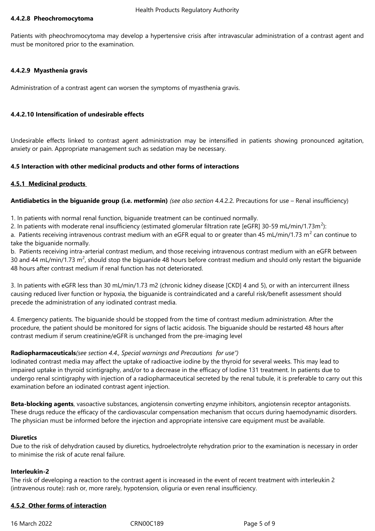#### **4.4.2.8 Pheochromocytoma**

Patients with pheochromocytoma may develop a hypertensive crisis after intravascular administration of a contrast agent and must be monitored prior to the examination.

#### **4.4.2.9 Myasthenia gravis**

Administration of a contrast agent can worsen the symptoms of myasthenia gravis.

#### **4.4.2.10 Intensification of undesirable effects**

Undesirable effects linked to contrast agent administration may be intensified in patients showing pronounced agitation, anxiety or pain. Appropriate management such as sedation may be necessary.

#### **4.5 Interaction with other medicinal products and other forms of interactions**

#### **4.5.1 Medicinal products**

**Antidiabetics in the biguanide group (i.e. metformin)** *(see also section* 4.4.2.2. Precautions for use – Renal insufficiency)

1. In patients with normal renal function, biguanide treatment can be continued normally.

2. In patients with moderate renal insufficiency (estimated glomerular filtration rate [eGFR] 30-59 mL/min/1.73m<sup>2</sup>):

a. Patients receiving intravenous contrast medium with an eGFR equal to or greater than 45 mL/min/1.73 m<sup>2</sup> can continue to take the biguanide normally.

b. Patients receiving intra-arterial contrast medium, and those receiving intravenous contrast medium with an eGFR between 30 and 44 mL/min/1.73 m<sup>2</sup>, should stop the biguanide 48 hours before contrast medium and should only restart the biguanide 48 hours after contrast medium if renal function has not deteriorated.

3. In patients with eGFR less than 30 mL/min/1.73 m2 (chronic kidney disease [CKD] 4 and 5), or with an intercurrent illness causing reduced liver function or hypoxia, the biguanide is contraindicated and a careful risk/benefit assessment should precede the administration of any iodinated contrast media.

4. Emergency patients. The biguanide should be stopped from the time of contrast medium administration. After the procedure, the patient should be monitored for signs of lactic acidosis. The biguanide should be restarted 48 hours after contrast medium if serum creatinine/eGFR is unchanged from the pre-imaging level

#### **Radiopharmaceuticals***(see section 4.4., Special warnings and Precautions for use")*

Iodinated contrast media may affect the uptake of radioactive iodine by the thyroid for several weeks. This may lead to impaired uptake in thyroid scintigraphy, and/or to a decrease in the efficacy of Iodine 131 treatment. In patients due to undergo renal scintigraphy with injection of a radiopharmaceutical secreted by the renal tubule, it is preferable to carry out this examination before an iodinated contrast agent injection.

**Beta-blocking agents**, vasoactive substances, angiotensin converting enzyme inhibitors, angiotensin receptor antagonists. These drugs reduce the efficacy of the cardiovascular compensation mechanism that occurs during haemodynamic disorders. The physician must be informed before the injection and appropriate intensive care equipment must be available.

#### **Diuretics**

Due to the risk of dehydration caused by diuretics, hydroelectrolyte rehydration prior to the examination is necessary in order to minimise the risk of acute renal failure.

#### **Interleukin-2**

The risk of developing a reaction to the contrast agent is increased in the event of recent treatment with interleukin 2 (intravenous route): rash or, more rarely, hypotension, oliguria or even renal insufficiency.

#### **4.5.2 Other forms of interaction**

16 March 2022 CRN00C189 Page 5 of 9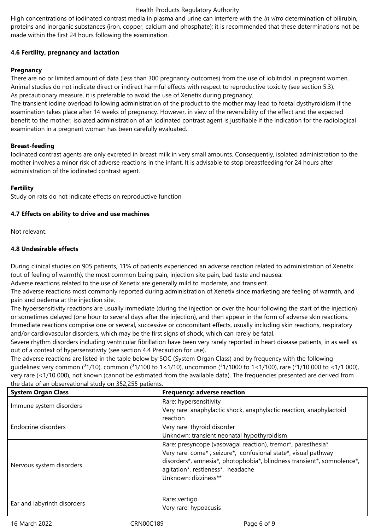High concentrations of iodinated contrast media in plasma and urine can interfere with the *in vitro* determination of bilirubin, proteins and inorganic substances (iron, copper, calcium and phosphate); it is recommended that these determinations not be made within the first 24 hours following the examination.

# **4.6 Fertility, pregnancy and lactation**

# **Pregnancy**

There are no or limited amount of data (less than 300 pregnancy outcomes) from the use of iobitridol in pregnant women. Animal studies do not indicate direct or indirect harmful effects with respect to reproductive toxicity (see section 5.3). As precautionary measure, it is preferable to avoid the use of Xenetix during pregnancy.

The transient iodine overload following administration of the product to the mother may lead to foetal dysthyroidism if the examination takes place after 14 weeks of pregnancy. However, in view of the reversibility of the effect and the expected benefit to the mother, isolated administration of an iodinated contrast agent is justifiable if the indication for the radiological examination in a pregnant woman has been carefully evaluated.

#### **Breast-feeding**

Iodinated contrast agents are only excreted in breast milk in very small amounts. Consequently, isolated administration to the mother involves a minor risk of adverse reactions in the infant. It is advisable to stop breastfeeding for 24 hours after administration of the iodinated contrast agent.

#### **Fertility**

Study on rats do not indicate effects on reproductive function

# **4.7 Effects on ability to drive and use machines**

Not relevant.

#### **4.8 Undesirable effects**

During clinical studies on 905 patients, 11% of patients experienced an adverse reaction related to administration of Xenetix (out of feeling of warmth), the most common being pain, injection site pain, bad taste and nausea.

Adverse reactions related to the use of Xenetix are generally mild to moderate, and transient.

The adverse reactions most commonly reported during administration of Xenetix since marketing are feeling of warmth, and pain and oedema at the injection site.

The hypersensitivity reactions are usually immediate (during the injection or over the hour following the start of the injection) or sometimes delayed (one hour to several days after the injection), and then appear in the form of adverse skin reactions. Immediate reactions comprise one or several, successive or concomitant effects, usually including skin reactions, respiratory and/or cardiovascular disorders, which may be the first signs of shock, which can rarely be fatal.

Severe rhythm disorders including ventricular fibrillation have been very rarely reported in heart disease patients, in as well as out of a context of hypersensitivity (see section 4.4 Precaution for use).

The adverse reactions are listed in the table below by SOC (System Organ Class) and by frequency with the following quidelines: very common ( $31/10$ ), common ( $31/100$  to  $1<1/10$ ), uncommon ( $31/1000$  to  $1<1/100$ ), rare ( $31/10000$  to  $<1/1000$ ), very rare (<1/10 000), not known (cannot be estimated from the available data). The frequencies presented are derived from the data of an observational study on 352,255 patients.

| <b>System Organ Class</b>   | <b>Frequency: adverse reaction</b>                                                                                                                                                                                                                                    |
|-----------------------------|-----------------------------------------------------------------------------------------------------------------------------------------------------------------------------------------------------------------------------------------------------------------------|
| Immune system disorders     | Rare: hypersensitivity<br>Very rare: anaphylactic shock, anaphylactic reaction, anaphylactoid<br>reaction                                                                                                                                                             |
| Endocrine disorders         | Very rare: thyroid disorder<br>Unknown: transient neonatal hypothyroidism                                                                                                                                                                                             |
| Nervous system disorders    | Rare: presyncope (vasovagal reaction), tremor*, paresthesia*<br>Very rare: coma*, seizure*, confusional state*, visual pathway<br>disorders*, amnesia*, photophobia*, blindness transient*, somnolence*,<br>agitation*, restleness*, headache<br>Unknown: dizziness** |
| Ear and labyrinth disorders | Rare: vertigo<br>Very rare: hypoacusis                                                                                                                                                                                                                                |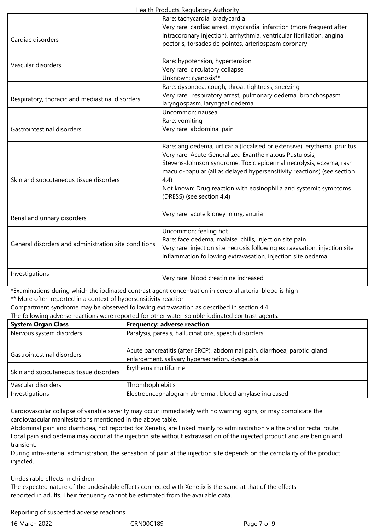| Cardiac disorders                                    | Rare: tachycardia, bradycardia<br>Very rare: cardiac arrest, myocardial infarction (more frequent after<br>intracoronary injection), arrhythmia, ventricular fibrillation, angina<br>pectoris, torsades de pointes, arteriospasm coronary                                                                                                                                                    |  |
|------------------------------------------------------|----------------------------------------------------------------------------------------------------------------------------------------------------------------------------------------------------------------------------------------------------------------------------------------------------------------------------------------------------------------------------------------------|--|
| Vascular disorders                                   | Rare: hypotension, hypertension<br>Very rare: circulatory collapse<br>Unknown: cyanosis**                                                                                                                                                                                                                                                                                                    |  |
| Respiratory, thoracic and mediastinal disorders      | Rare: dyspnoea, cough, throat tightness, sneezing<br>Very rare: respiratory arrest, pulmonary oedema, bronchospasm,<br>laryngospasm, laryngeal oedema                                                                                                                                                                                                                                        |  |
| Gastrointestinal disorders                           | Uncommon: nausea<br>Rare: vomiting<br>Very rare: abdominal pain                                                                                                                                                                                                                                                                                                                              |  |
| Skin and subcutaneous tissue disorders               | Rare: angioedema, urticaria (localised or extensive), erythema, pruritus<br>Very rare: Acute Generalized Exanthematous Pustulosis,<br>Stevens-Johnson syndrome, Toxic epidermal necrolysis, eczema, rash<br>maculo-papular (all as delayed hypersensitivity reactions) (see section<br>4.4)<br>Not known: Drug reaction with eosinophilia and systemic symptoms<br>(DRESS) (see section 4.4) |  |
| Renal and urinary disorders                          | Very rare: acute kidney injury, anuria                                                                                                                                                                                                                                                                                                                                                       |  |
| General disorders and administration site conditions | Uncommon: feeling hot<br>Rare: face oedema, malaise, chills, injection site pain<br>Very rare: injection site necrosis following extravasation, injection site<br>inflammation following extravasation, injection site oedema                                                                                                                                                                |  |
| Investigations                                       | Very rare: blood creatinine increased                                                                                                                                                                                                                                                                                                                                                        |  |

\*Examinations during which the iodinated contrast agent concentration in cerebral arterial blood is high \*\* More often reported in a context of hypersensitivity reaction

Compartment syndrome may be observed following extravasation as described in section 4.4

The following adverse reactions were reported for other water-soluble iodinated contrast agents.

| The following adverse reactions were reported for other water soldbic foundated contrast agents. |                                                                                                                              |  |
|--------------------------------------------------------------------------------------------------|------------------------------------------------------------------------------------------------------------------------------|--|
| <b>System Organ Class</b>                                                                        | <b>Frequency: adverse reaction</b>                                                                                           |  |
| Nervous system disorders                                                                         | Paralysis, paresis, hallucinations, speech disorders                                                                         |  |
| Gastrointestinal disorders                                                                       | Acute pancreatitis (after ERCP), abdominal pain, diarrhoea, parotid gland<br>enlargement, salivary hypersecretion, dysgeusia |  |
| Skin and subcutaneous tissue disorders                                                           | Erythema multiforme                                                                                                          |  |
| Vascular disorders                                                                               | Thrombophlebitis                                                                                                             |  |
| Investigations                                                                                   | Electroencephalogram abnormal, blood amylase increased                                                                       |  |

Cardiovascular collapse of variable severity may occur immediately with no warning signs, or may complicate the cardiovascular manifestations mentioned in the above table.

Abdominal pain and diarrhoea, not reported for Xenetix, are linked mainly to administration via the oral or rectal route. Local pain and oedema may occur at the injection site without extravasation of the injected product and are benign and transient.

During intra-arterial administration, the sensation of pain at the injection site depends on the osmolality of the product injected.

# Undesirable effects in children

The expected nature of the undesirable effects connected with Xenetix is the same at that of the effects reported in adults. Their frequency cannot be estimated from the available data.

#### Reporting of suspected adverse reactions

16 March 2022 CRN00C189 Page 7 of 9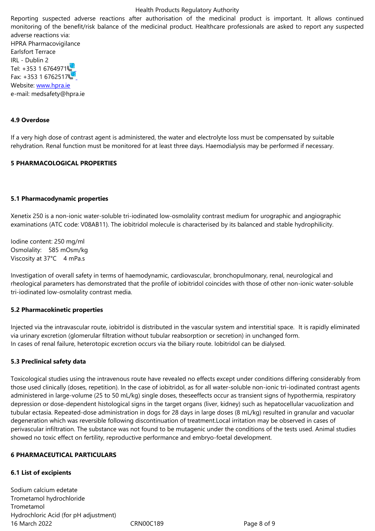adverse reactions via: HPRA Pharmacovigilance Earlsfort Terrace IRL - Dublin 2 Tel: +353 1 6764971 Fax: +353 1 6762517 Website: www.hpra.ie e-mail: medsafety@hpra.ie

# **4.9 Over[dose](http://www.hpra.ie/)**

If a very high dose of contrast agent is administered, the water and electrolyte loss must be compensated by suitable rehydration. Renal function must be monitored for at least three days. Haemodialysis may be performed if necessary.

#### **5 PHARMACOLOGICAL PROPERTIES**

#### **5.1 Pharmacodynamic properties**

Xenetix 250 is a non-ionic water-soluble tri-iodinated low-osmolality contrast medium for urographic and angiographic examinations (ATC code: V08AB11). The iobitridol molecule is characterised by its balanced and stable hydrophilicity.

Iodine content: 250 mg/ml Osmolality: 585 mOsm/kg Viscosity at 37°C 4 mPa.s

Investigation of overall safety in terms of haemodynamic, cardiovascular, bronchopulmonary, renal, neurological and rheological parameters has demonstrated that the profile of iobitridol coincides with those of other non-ionic water-soluble tri-iodinated low-osmolality contrast media.

#### **5.2 Pharmacokinetic properties**

Injected via the intravascular route, iobitridol is distributed in the vascular system and interstitial space. It is rapidly eliminated via urinary excretion (glomerular filtration without tubular reabsorption or secretion) in unchanged form. In cases of renal failure, heterotopic excretion occurs via the biliary route. Iobitridol can be dialysed.

#### **5.3 Preclinical safety data**

Toxicological studies using the intravenous route have revealed no effects except under conditions differing considerably from those used clinically (doses, repetition). In the case of iobitridol, as for all water-soluble non-ionic tri-iodinated contrast agents administered in large-volume (25 to 50 mL/kg) single doses, theseeffects occur as transient signs of hypothermia, respiratory depression or dose-dependent histological signs in the target organs (liver, kidney) such as hepatocellular vacuolization and tubular ectasia. Repeated-dose administration in dogs for 28 days in large doses (8 mL/kg) resulted in granular and vacuolar degeneration which was reversible following discontinuation of treatment.Local irritation may be observed in cases of perivascular infiltration. The substance was not found to be mutagenic under the conditions of the tests used. Animal studies showed no toxic effect on fertility, reproductive performance and embryo-foetal development.

#### **6 PHARMACEUTICAL PARTICULARS**

#### **6.1 List of excipients**

16 March 2022 CRN00C189 Page 8 of 9 Sodium calcium edetate Trometamol hydrochloride Trometamol Hydrochloric Acid (for pH adjustment)